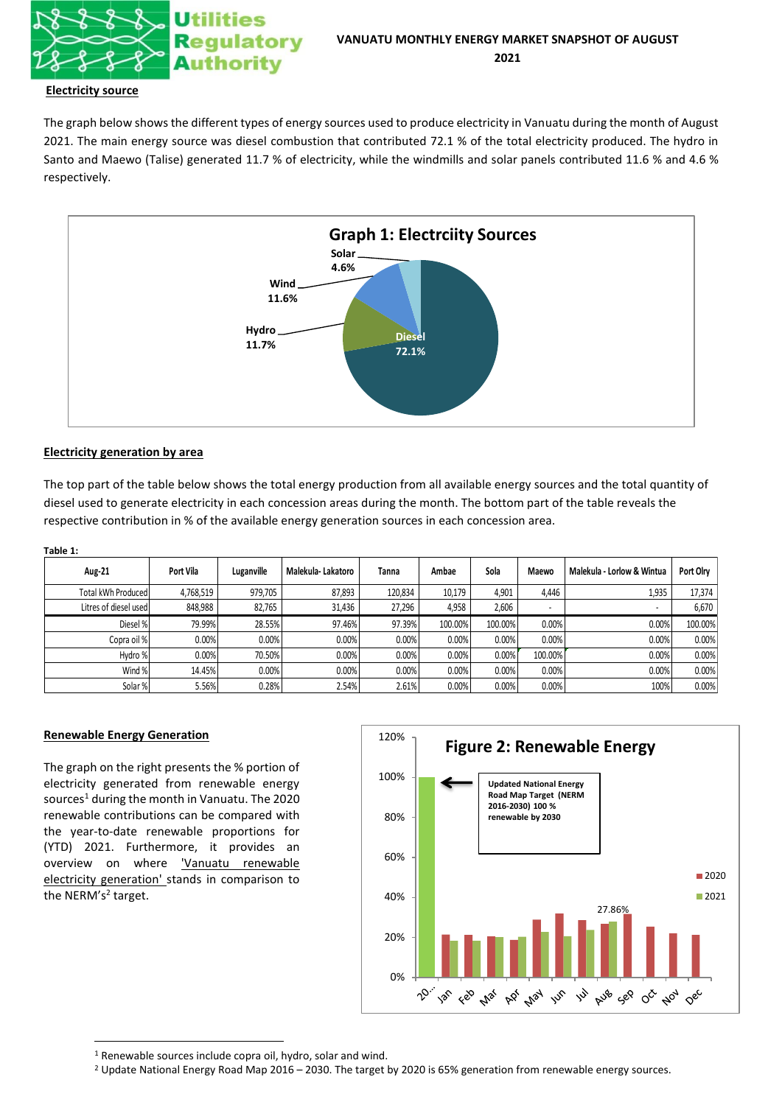

## **Electricity source**

The graph below shows the different types of energy sources used to produce electricity in Vanuatu during the month of August 2021. The main energy source was diesel combustion that contributed 72.1 % of the total electricity produced. The hydro in Santo and Maewo (Talise) generated 11.7 % of electricity, while the windmills and solar panels contributed 11.6 % and 4.6 % respectively.



## **Electricity generation by area**

The top part of the table below shows the total energy production from all available energy sources and the total quantity of diesel used to generate electricity in each concession areas during the month. The bottom part of the table reveals the respective contribution in % of the available energy generation sources in each concession area.

| ٠<br>۰.<br><br>۰, |  |
|-------------------|--|
|                   |  |

| <b>Aug-21</b>         | Port Vila | Luganville | Malekula-Lakatoro | <b>Tanna</b> | Ambae   | Sola    | Maewo   | Malekula - Lorlow & Wintua | Port Olrv |
|-----------------------|-----------|------------|-------------------|--------------|---------|---------|---------|----------------------------|-----------|
| Total kWh Produced    | 4,768,519 | 979,705    | 87,893            | 120,834      | 10,179  | 4,901   | 4.446   | 1,935                      | 17,374    |
| Litres of diesel used | 848,988   | 82,765     | 31,436            | 27,296       | 4,958   | 2,606   | $\sim$  |                            | 6,670     |
| Diesel %              | 79.99%    | 28.55%     | 97.46%            | 97.39%       | 100.00% | 100.00% | 0.00%   | 0.00%                      | 100.00%   |
| Copra oil %           | $0.00\%$  | 0.00%      | $0.00\%$          | 0.00%        | 0.00%   | 0.00%   | 0.00%   | 0.00%                      | 0.00%     |
| Hydro %               | 0.00%     | 70.50%     | $0.00\%$          | 0.00%        | 0.00%   | 0.00%   | 100.00% | 0.00%                      | 0.00%     |
| Wind %                | 14.45%    | 0.00%      | $0.00\%$          | 0.00%        | 0.00%   | 0.00%   | 0.00%   | 0.00%                      | 0.00%     |
| Solar %               | 5.56%     | 0.28%      | 2.54%             | 2.61%        | 0.00%   | 0.00%   | 0.00%   | 100%                       | 0.00%     |

## **Renewable Energy Generation**

The graph on the right presents the % portion of electricity generated from renewable energy sources<sup>1</sup> during the month in Vanuatu. The 2020 renewable contributions can be compared with the year-to-date renewable proportions for (YTD) 2021. Furthermore, it provides an overview on where **Yanuatu** renewable electricity generation' stands in comparison to the NERM's<sup>2</sup> target.



<sup>1</sup> Renewable sources include copra oil, hydro, solar and wind.

<sup>&</sup>lt;sup>2</sup> Update National Energy Road Map 2016 – 2030. The target by 2020 is 65% generation from renewable energy sources.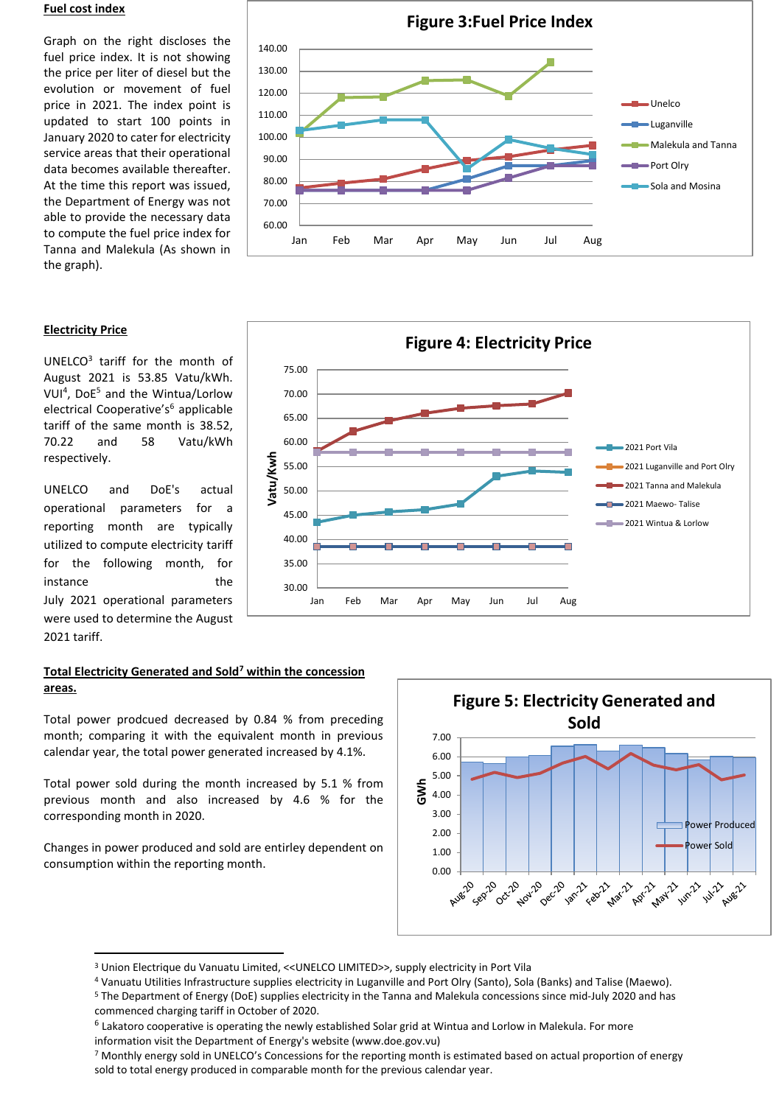## **Fuel cost index**

Graph on the right discloses the fuel price index. It is not showing the price per liter of diesel but the evolution or movement of fuel price in 2021. The index point is updated to start 100 points in January 2020 to cater for electricity service areas that their operational data becomes available thereafter. At the time this report was issued, the Department of Energy was not able to provide the necessary data to compute the fuel price index for Tanna and Malekula (As shown in the graph).

# **Electricity Price**

UNELCO<sup>3</sup> tariff for the month of August 2021 is 53.85 Vatu/kWh. VUI<sup>4</sup>, DoE<sup>5</sup> and the Wintua/Lorlow electrical Cooperative's<sup>6</sup> applicable tariff of the same month is 38.52, 70.22 and 58 Vatu/kWh respectively.

UNELCO and DoE's actual operational parameters for a reporting month are typically utilized to compute electricity tariff for the following month, for instance the the July 2021 operational parameters were used to determine the August 2021 tariff.

# **Total Electricity Generated and Sold<sup>7</sup> within the concession areas.**

Total power prodcued decreased by 0.84 % from preceding month; comparing it with the equivalent month in previous calendar year, the total power generated increased by 4.1%.

Total power sold during the month increased by 5.1 % from previous month and also increased by 4.6 % for the corresponding month in 2020.

Changes in power produced and sold are entirley dependent on consumption within the reporting month.



<sup>3</sup> Union Electrique du Vanuatu Limited, <<UNELCO LIMITED>>, supply electricity in Port Vila

<sup>4</sup> Vanuatu Utilities Infrastructure supplies electricity in Luganville and Port Olry (Santo), Sola (Banks) and Talise (Maewo). <sup>5</sup> The Department of Energy (DoE) supplies electricity in the Tanna and Malekula concessions since mid-July 2020 and has commenced charging tariff in October of 2020.

<sup>7</sup> Monthly energy sold in UNELCO's Concessions for the reporting month is estimated based on actual proportion of energy sold to total energy produced in comparable month for the previous calendar year.





<sup>&</sup>lt;sup>6</sup> Lakatoro cooperative is operating the newly established Solar grid at Wintua and Lorlow in Malekula. For more information visit the Department of Energy's website (www.doe.gov.vu)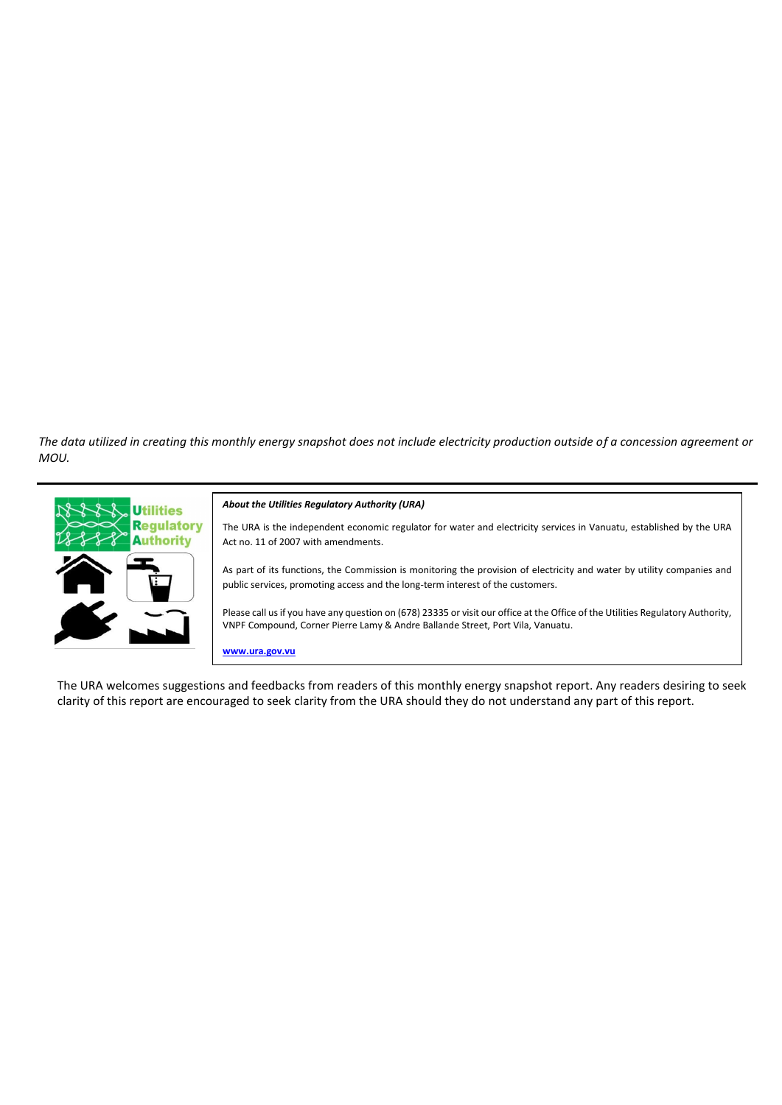*The data utilized in creating this monthly energy snapshot does not include electricity production outside of a concession agreement or MOU.*



The URA welcomes suggestions and feedbacks from readers of this monthly energy snapshot report. Any readers desiring to seek clarity of this report are encouraged to seek clarity from the URA should they do not understand any part of this report.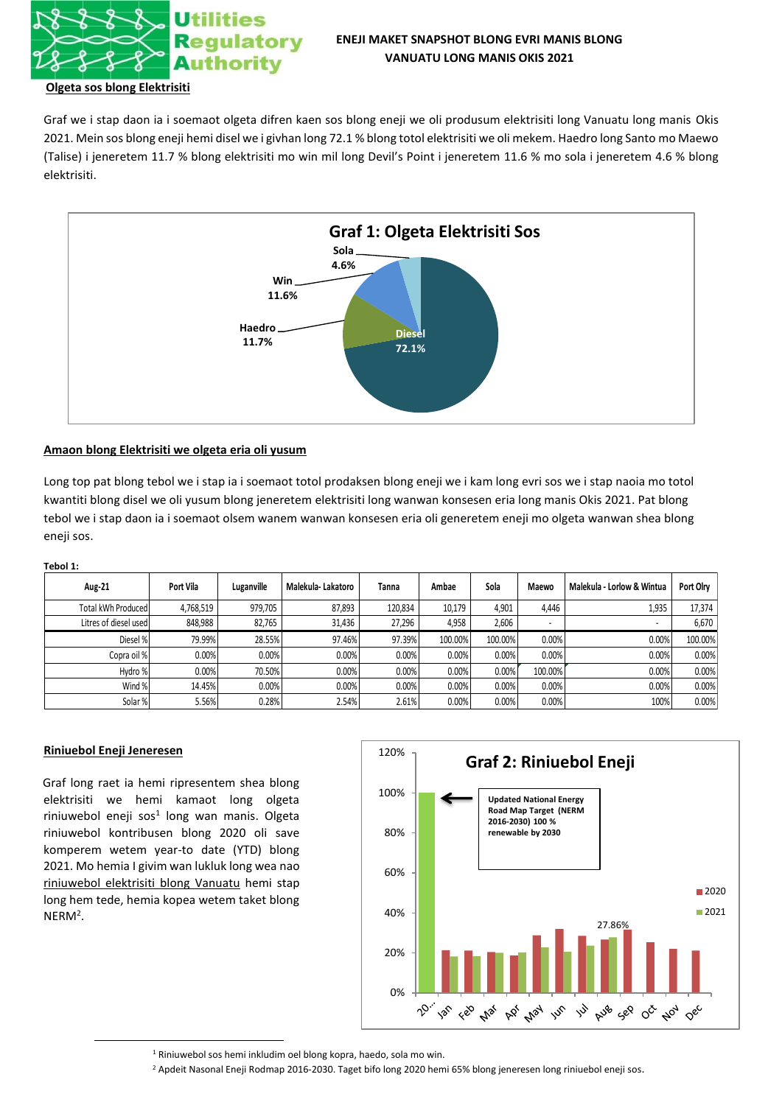

## **Olgeta sos blong Elektrisiti**

Graf we i stap daon ia i soemaot olgeta difren kaen sos blong eneji we oli produsum elektrisiti long Vanuatu long manis Okis 2021. Mein sos blong eneji hemi disel we i givhan long 72.1 % blong totol elektrisiti we oli mekem. Haedro long Santo mo Maewo (Talise) i jeneretem 11.7 % blong elektrisiti mo win mil long Devil's Point i jeneretem 11.6 % mo sola i jeneretem 4.6 % blong elektrisiti.



## **Amaon blong Elektrisiti we olgeta eria oli yusum**

Long top pat blong tebol we i stap ia i soemaot totol prodaksen blong eneji we i kam long evri sos we i stap naoia mo totol kwantiti blong disel we oli yusum blong jeneretem elektrisiti long wanwan konsesen eria long manis Okis 2021. Pat blong tebol we i stap daon ia i soemaot olsem wanem wanwan konsesen eria oli generetem eneji mo olgeta wanwan shea blong eneji sos.

#### **Tebol 1:**

| Aug-21                | Port Vila | Luganville | Malekula-Lakatoro | Tanna   | Ambae   | Sola    | Maewo   | Malekula - Lorlow & Wintua | Port Olry |
|-----------------------|-----------|------------|-------------------|---------|---------|---------|---------|----------------------------|-----------|
| Total kWh Produced    | 4,768,519 | 979,705    | 87,893            | 120.834 | 10.179  | 4.901   | 4.446   | 1,935                      | 17,374    |
| Litres of diesel used | 848,988   | 82,765     | 31.436            | 27,296  | 4,958   | 2,606   |         | $\sim$                     | 6,670     |
| Diesel %              | 79.99%    | 28.55%     | 97.46%            | 97.39%  | 100.00% | 100.00% | 0.00%   | 0.00%                      | 100.00%   |
| Copra oil %           | 0.00%     | 0.00%      | $0.00\%$          | 0.00%   | 0.00%   | 0.00%   | 0.00%   | 0.00%                      | 0.00%     |
| Hydro %               | 0.00%     | 70.50%     | 0.00%             | 0.00%   | 0.00%   | 0.00%   | 100.00% | 0.00%                      | 0.00%     |
| Wind %                | 14.45%    | 0.00%      | 0.00%             | 0.00%   | 0.00%   | 0.00%   | 0.00%   | 0.00%                      | 0.00%     |
| Solar %               | 5.56%     | 0.28%      | 2.54%             | 2.61%   | 0.00%   | 0.00%   | 0.00%   | 100%                       | 0.00%     |

## **Riniuebol Eneji Jeneresen**

Graf long raet ia hemi ripresentem shea blong elektrisiti we hemi kamaot long olgeta riniuwebol eneji sos<sup>1</sup> long wan manis. Olgeta riniuwebol kontribusen blong 2020 oli save komperem wetem year-to date (YTD) blong 2021. Mo hemia I givim wan lukluk long wea nao riniuwebol elektrisiti blong Vanuatu hemi stap long hem tede, hemia kopea wetem taket blong  $NERM<sup>2</sup>$ .



<sup>1</sup> Riniuwebol sos hemi inkludim oel blong kopra, haedo, sola mo win.

<sup>2</sup> Apdeit Nasonal Eneji Rodmap 2016-2030. Taget bifo long 2020 hemi 65% blong jeneresen long riniuebol eneji sos.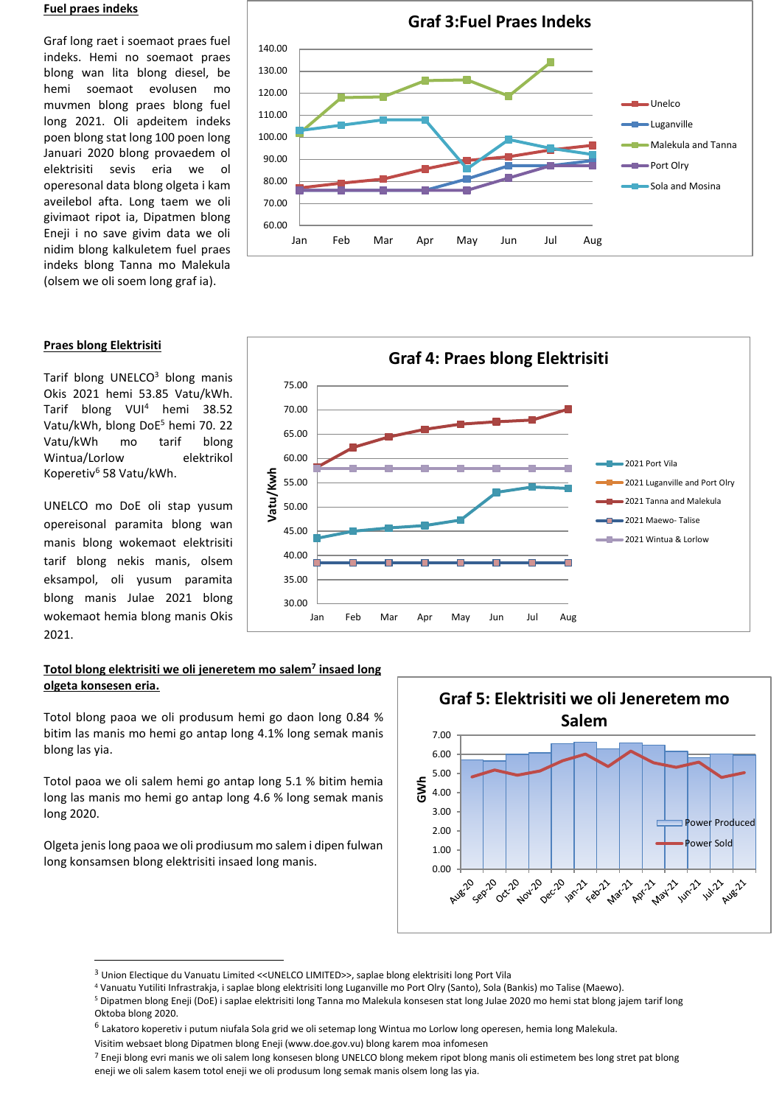## **Fuel praes indeks**

Graf long raet i soemaot praes fuel indeks. Hemi no soemaot praes blong wan lita blong diesel, be hemi soemaot evolusen mo muvmen blong praes blong fuel long 2021. Oli apdeitem indeks poen blong stat long 100 poen long Januari 2020 blong provaedem ol elektrisiti sevis eria we ol operesonal data blong olgeta i kam aveilebol afta. Long taem we oli givimaot ripot ia, Dipatmen blong Eneji i no save givim data we oli nidim blong kalkuletem fuel praes indeks blong Tanna mo Malekula (olsem we oli soem long graf ia).



## **Praes blong Elektrisiti**

Tarif blong UNELCO<sup>3</sup> blong manis Okis 2021 hemi 53.85 Vatu/kWh. Tarif blong VUI<sup>4</sup> hemi 38.52 Vatu/kWh, blong DoE<sup>5</sup> hemi 70. 22 Vatu/kWh mo tarif blong Wintua/Lorlow elektrikol Koperetiv<sup>6</sup> 58 Vatu/kWh.

UNELCO mo DoE oli stap yusum opereisonal paramita blong wan manis blong wokemaot elektrisiti tarif blong nekis manis, olsem eksampol, oli yusum paramita blong manis Julae 2021 blong wokemaot hemia blong manis Okis 2021.

## **Totol blong elektrisiti we oli jeneretem mo salem<sup>7</sup> insaed long olgeta konsesen eria.**

Totol blong paoa we oli produsum hemi go daon long 0.84 % bitim las manis mo hemi go antap long 4.1% long semak manis blong las yia.

Totol paoa we oli salem hemi go antap long 5.1 % bitim hemia long las manis mo hemi go antap long 4.6 % long semak manis long 2020.

Olgeta jenis long paoa we oli prodiusum mo salem i dipen fulwan long konsamsen blong elektrisiti insaed long manis.





<sup>3</sup> Union Electique du Vanuatu Limited <<UNELCO LIMITED>>, saplae blong elektrisiti long Port Vila

<sup>4</sup> Vanuatu Yutiliti Infrastrakja, i saplae blong elektrisiti long Luganville mo Port Olry (Santo), Sola (Bankis) mo Talise (Maewo).

<sup>5</sup> Dipatmen blong Eneji (DoE) i saplae elektrisiti long Tanna mo Malekula konsesen stat long Julae 2020 mo hemi stat blong jajem tarif long Oktoba blong 2020.

<sup>6</sup> Lakatoro koperetiv i putum niufala Sola grid we oli setemap long Wintua mo Lorlow long operesen, hemia long Malekula.

Visitim websaet blong Dipatmen blong Eneji (www.doe.gov.vu) blong karem moa infomesen

<sup>7</sup> Eneji blong evri manis we oli salem long konsesen blong UNELCO blong mekem ripot blong manis oli estimetem bes long stret pat blong eneji we oli salem kasem totol eneji we oli produsum long semak manis olsem long las yia.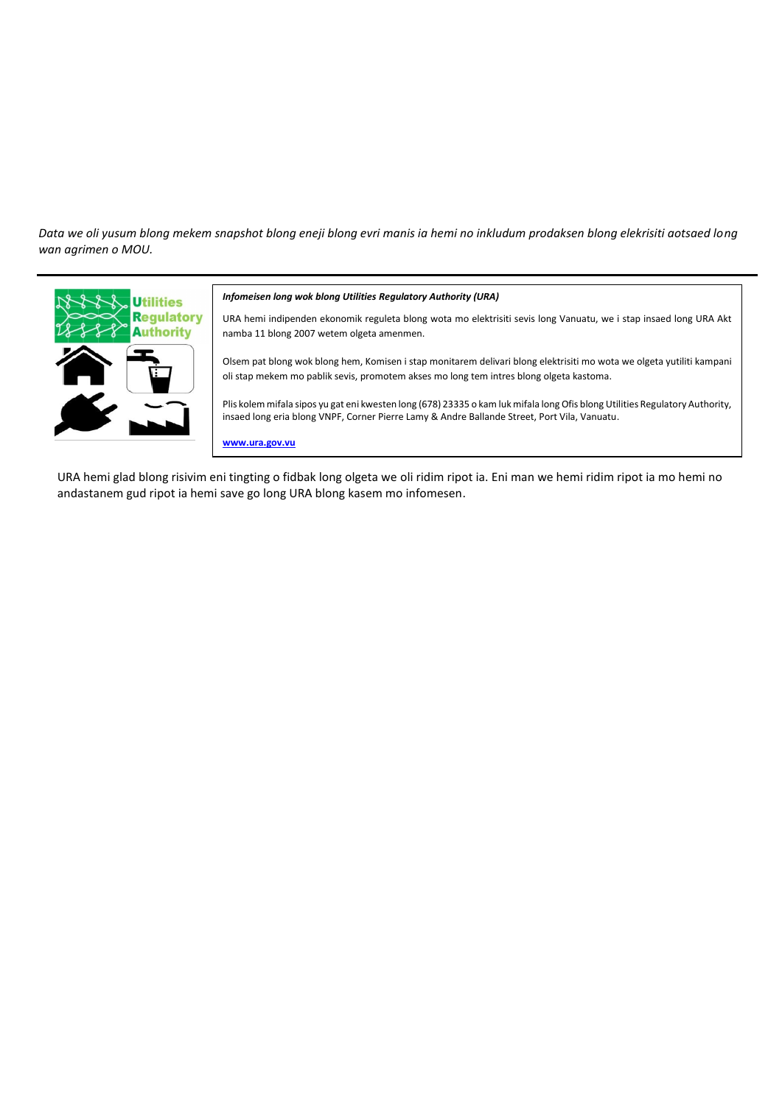*Data we oli yusum blong mekem snapshot blong eneji blong evri manis ia hemi no inkludum prodaksen blong elekrisiti aotsaed long wan agrimen o MOU.*



#### *Infomeisen long wok blong Utilities Regulatory Authority (URA)*

URA hemi indipenden ekonomik reguleta blong wota mo elektrisiti sevis long Vanuatu, we i stap insaed long URA Akt namba 11 blong 2007 wetem olgeta amenmen.

Olsem pat blong wok blong hem, Komisen i stap monitarem delivari blong elektrisiti mo wota we olgeta yutiliti kampani oli stap mekem mo pablik sevis, promotem akses mo long tem intres blong olgeta kastoma.

Plis kolem mifala sipos yu gat eni kwesten long (678) 23335 o kam luk mifala long Ofis blong Utilities Regulatory Authority, insaed long eria blong VNPF, Corner Pierre Lamy & Andre Ballande Street, Port Vila, Vanuatu.

**www.ura.gov.vu**

URA hemi glad blong risivim eni tingting o fidbak long olgeta we oli ridim ripot ia. Eni man we hemi ridim ripot ia mo hemi no andastanem gud ripot ia hemi save go long URA blong kasem mo infomesen.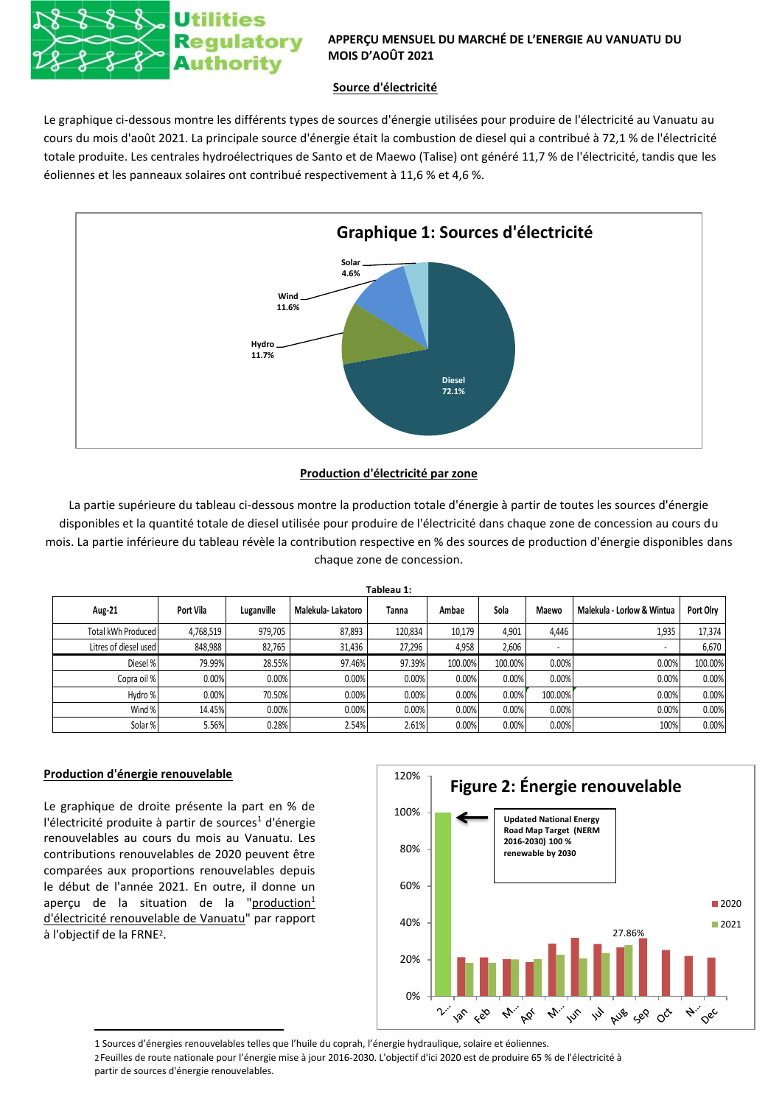

# **APPERÇU MENSUEL DU MARCHÉ DE L'ENERGIE AU VANUATU DU MOIS D'AOÛT 2021**

# **Source d'électricité**

Le graphique ci-dessous montre les différents types de sources d'énergie utilisées pour produire de l'électricité au Vanuatu au cours du mois d'août 2021. La principale source d'énergie était la combustion de diesel qui a contribué à 72,1 % de l'électricité totale produite. Les centrales hydroélectriques de Santo et de Maewo (Talise) ont généré 11,7 % de l'électricité, tandis que les éoliennes et les panneaux solaires ont contribué respectivement à 11,6 % et 4,6 %.



# **Production d'électricité par zone**

La partie supérieure du tableau ci-dessous montre la production totale d'énergie à partir de toutes les sources d'énergie disponibles et la quantité totale de diesel utilisée pour produire de l'électricité dans chaque zone de concession au cours du mois. La partie inférieure du tableau révèle la contribution respective en % des sources de production d'énergie disponibles dans chaque zone de concession.

| Tableau 1:            |           |            |                   |         |         |         |                          |                            |           |
|-----------------------|-----------|------------|-------------------|---------|---------|---------|--------------------------|----------------------------|-----------|
| Aug-21                | Port Vila | Luganville | Malekula-Lakatoro | Tanna   | Ambae   | Sola    | Maewo                    | Malekula - Lorlow & Wintua | Port Olry |
| Total kWh Produced    | 4,768,519 | 979,705    | 87,893            | 120,834 | 10,179  | 4,901   | 4,446                    | 1,935                      | 17,374    |
| Litres of diesel used | 848,988   | 82,765     | 31,436            | 27,296  | 4,958   | 2,606   | $\overline{\phantom{a}}$ | ۰                          | 6,670     |
| Diesel %              | 79.99%    | 28.55%     | 97.46%            | 97.39%  | 100.00% | 100.00% | 0.00%                    | 0.00%                      | 100.00%   |
| Copra oil %           | 0.00%     | 0.00%      | 0.00%             | 0.00%   | 0.00%   | 0.00%   | 0.00%                    | 0.00%                      | 0.00%     |
| Hydro %               | 0.00%     | 70.50%     | 0.00%             | 0.00%   | 0.00%   | 0.00%   | 100.00%                  | 0.00%                      | 0.00%     |
| Wind %                | 14.45%    | 0.00%      | 0.00%             | 0.00%   | 0.00%   | 0.00%   | 0.00%                    | 0.00%                      | 0.00%     |
| Solar %               | 5.56%     | 0.28%      | 2.54%             | 2.61%   | 0.00%   | 0.00%   | 0.00%                    | 100%                       | 0.00%     |

# **Production d'énergie renouvelable**

Le graphique de droite présente la part en % de l'électricité produite à partir de sources<sup>1</sup> d'énergie renouvelables au cours du mois au Vanuatu. Les contributions renouvelables de 2020 peuvent être comparées aux proportions renouvelables depuis le début de l'année 2021. En outre, il donne un aperçu de la situation de la "production<sup>1</sup> d'électricité renouvelable de Vanuatu" par rapport à l'objectif de la FRNE<sup>2</sup> .



1 Sources d'énergies renouvelables telles que l'huile du coprah, l'énergie hydraulique, solaire et éoliennes.

2Feuilles de route nationale pour l'énergie mise à jour 2016-2030. L'objectif d'ici 2020 est de produire 65 % de l'électricité à partir de sources d'énergie renouvelables.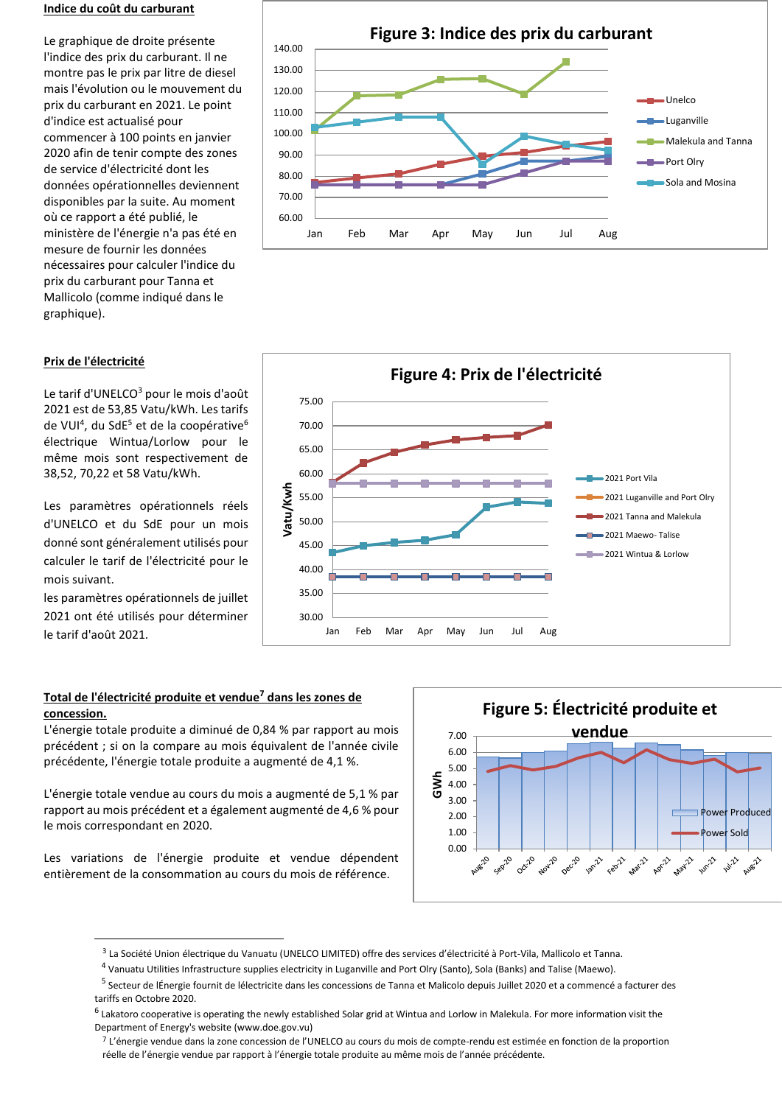## **Indice du coût du carburant**

Le graphique de droite présente l'indice des prix du carburant. Il ne montre pas le prix par litre de diesel mais l'évolution ou le mouvement du prix du carburant en 2021. Le point d'indice est actualisé pour commencer à 100 points en janvier 2020 afin de tenir compte des zones de service d'électricité dont les données opérationnelles deviennent disponibles par la suite. Au moment où ce rapport a été publié, le ministère de l'énergie n'a pas été en mesure de fournir les données nécessaires pour calculer l'indice du prix du carburant pour Tanna et Mallicolo (comme indiqué dans le graphique).

## 60.00 70.00 80.00 90.00 100.00 110.00 120.00 130.00 140.00 Jan Feb Mar Apr May Jun Jul Aug **Figure 3: Indice des prix du carburant** Unelco Luganville Malekula and Tanna Port Olry Sola and Mosina

## **Prix de l'électricité**

Le tarif d'UNELCO<sup>3</sup> pour le mois d'août 2021 est de 53,85 Vatu/kWh. Les tarifs de VUI<sup>4</sup>, du SdE<sup>5</sup> et de la coopérative<sup>6</sup> électrique Wintua/Lorlow pour le même mois sont respectivement de 38,52, 70,22 et 58 Vatu/kWh.

Les paramètres opérationnels réels d'UNELCO et du SdE pour un mois donné sont généralement utilisés pour calculer le tarif de l'électricité pour le mois suivant.

les paramètres opérationnels de juillet 2021 ont été utilisés pour déterminer le tarif d'août 2021.



# **Total de l'électricité produite et vendue<sup>7</sup> dans les zones de concession.**

L'énergie totale produite a diminué de 0,84 % par rapport au mois précédent ; si on la compare au mois équivalent de l'année civile précédente, l'énergie totale produite a augmenté de 4,1 %.

L'énergie totale vendue au cours du mois a augmenté de 5,1 % par rapport au mois précédent et a également augmenté de 4,6 % pour le mois correspondant en 2020.

Les variations de l'énergie produite et vendue dépendent entièrement de la consommation au cours du mois de référence.



<sup>3</sup> La Société Union électrique du Vanuatu (UNELCO LIMITED) offre des services d'électricité à Port-Vila, Mallicolo et Tanna.

<sup>&</sup>lt;sup>4</sup> Vanuatu Utilities Infrastructure supplies electricity in Luganville and Port Olry (Santo), Sola (Banks) and Talise (Maewo).

<sup>&</sup>lt;sup>5</sup> Secteur de lÉnergie fournit de lélectricite dans les concessions de Tanna et Malicolo depuis Juillet 2020 et a commencé a facturer des tariffs en Octobre 2020.

<sup>&</sup>lt;sup>6</sup> Lakatoro cooperative is operating the newly established Solar grid at Wintua and Lorlow in Malekula. For more information visit the Department of Energy's website (www.doe.gov.vu)

<sup>7</sup> L'énergie vendue dans la zone concession de l'UNELCO au cours du mois de compte-rendu est estimée en fonction de la proportion réelle de l'énergie vendue par rapport à l'énergie totale produite au même mois de l'année précédente.